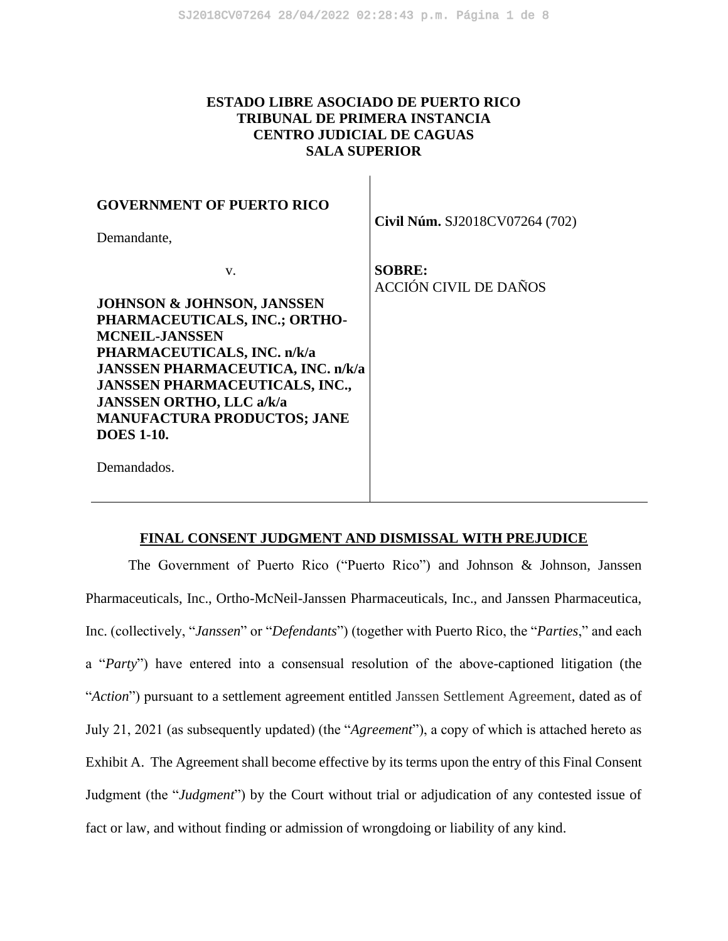# **ESTADO LIBRE ASOCIADO DE PUERTO RICO TRIBUNAL DE PRIMERA INSTANCIA CENTRO JUDICIAL DE CAGUAS SALA SUPERIOR**

 $\mathbf{I}$ 

| <b>GOVERNMENT OF PUERTO RICO</b><br>Demandante,                                                                                                                                                                                                                                                                               | Civil Núm. SJ2018CV07264 (702)                |
|-------------------------------------------------------------------------------------------------------------------------------------------------------------------------------------------------------------------------------------------------------------------------------------------------------------------------------|-----------------------------------------------|
| $V_{\cdot}$<br>JOHNSON & JOHNSON, JANSSEN<br>PHARMACEUTICALS, INC.; ORTHO-<br><b>MCNEIL-JANSSEN</b><br>PHARMACEUTICALS, INC. n/k/a<br>JANSSEN PHARMACEUTICA, INC. n/k/a<br><b>JANSSEN PHARMACEUTICALS, INC.,</b><br><b>JANSSEN ORTHO, LLC a/k/a</b><br><b>MANUFACTURA PRODUCTOS; JANE</b><br><b>DOES 1-10.</b><br>Demandados. | <b>SOBRE:</b><br><b>ACCIÓN CIVIL DE DAÑOS</b> |

## **FINAL CONSENT JUDGMENT AND DISMISSAL WITH PREJUDICE**

The Government of Puerto Rico ("Puerto Rico") and Johnson & Johnson, Janssen Pharmaceuticals, Inc., Ortho-McNeil-Janssen Pharmaceuticals, Inc., and Janssen Pharmaceutica, Inc. (collectively, "*Janssen*" or "*Defendants*") (together with Puerto Rico, the "*Parties*," and each a "*Party*") have entered into a consensual resolution of the above-captioned litigation (the "*Action*") pursuant to a settlement agreement entitled Janssen Settlement Agreement, dated as of July 21, 2021 (as subsequently updated) (the "*Agreement*"), a copy of which is attached hereto as Exhibit A. The Agreement shall become effective by its terms upon the entry of this Final Consent Judgment (the "*Judgment*") by the Court without trial or adjudication of any contested issue of fact or law, and without finding or admission of wrongdoing or liability of any kind.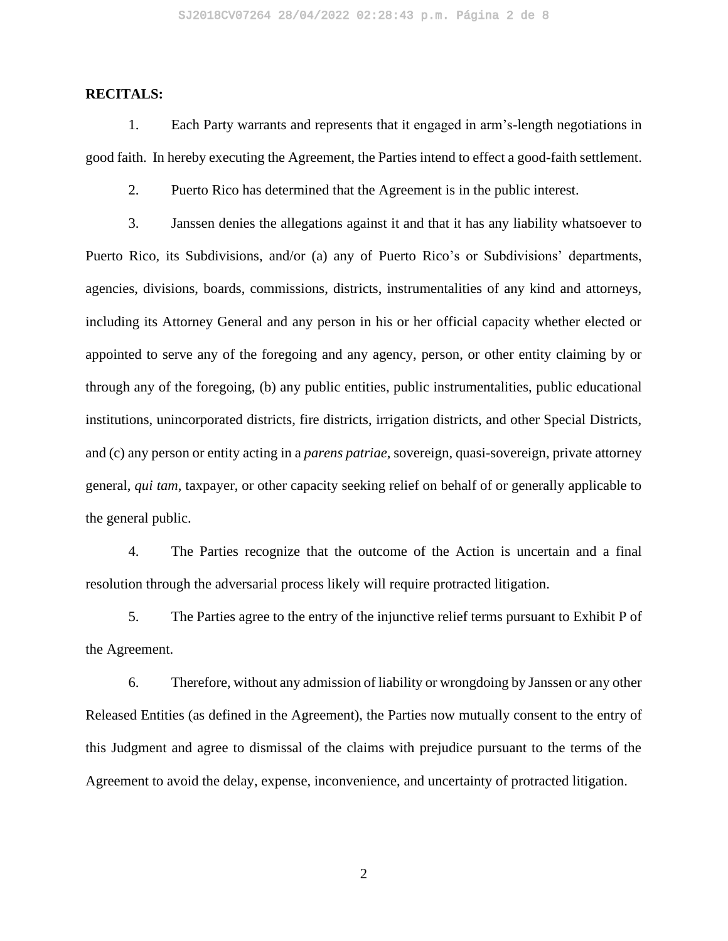## **RECITALS:**

1. Each Party warrants and represents that it engaged in arm's-length negotiations in good faith. In hereby executing the Agreement, the Parties intend to effect a good-faith settlement.

2. Puerto Rico has determined that the Agreement is in the public interest.

3. Janssen denies the allegations against it and that it has any liability whatsoever to Puerto Rico, its Subdivisions, and/or (a) any of Puerto Rico's or Subdivisions' departments, agencies, divisions, boards, commissions, districts, instrumentalities of any kind and attorneys, including its Attorney General and any person in his or her official capacity whether elected or appointed to serve any of the foregoing and any agency, person, or other entity claiming by or through any of the foregoing, (b) any public entities, public instrumentalities, public educational institutions, unincorporated districts, fire districts, irrigation districts, and other Special Districts, and (c) any person or entity acting in a *parens patriae*, sovereign, quasi-sovereign, private attorney general, *qui tam*, taxpayer, or other capacity seeking relief on behalf of or generally applicable to the general public.

4. The Parties recognize that the outcome of the Action is uncertain and a final resolution through the adversarial process likely will require protracted litigation.

5. The Parties agree to the entry of the injunctive relief terms pursuant to Exhibit P of the Agreement.

6. Therefore, without any admission of liability or wrongdoing by Janssen or any other Released Entities (as defined in the Agreement), the Parties now mutually consent to the entry of this Judgment and agree to dismissal of the claims with prejudice pursuant to the terms of the Agreement to avoid the delay, expense, inconvenience, and uncertainty of protracted litigation.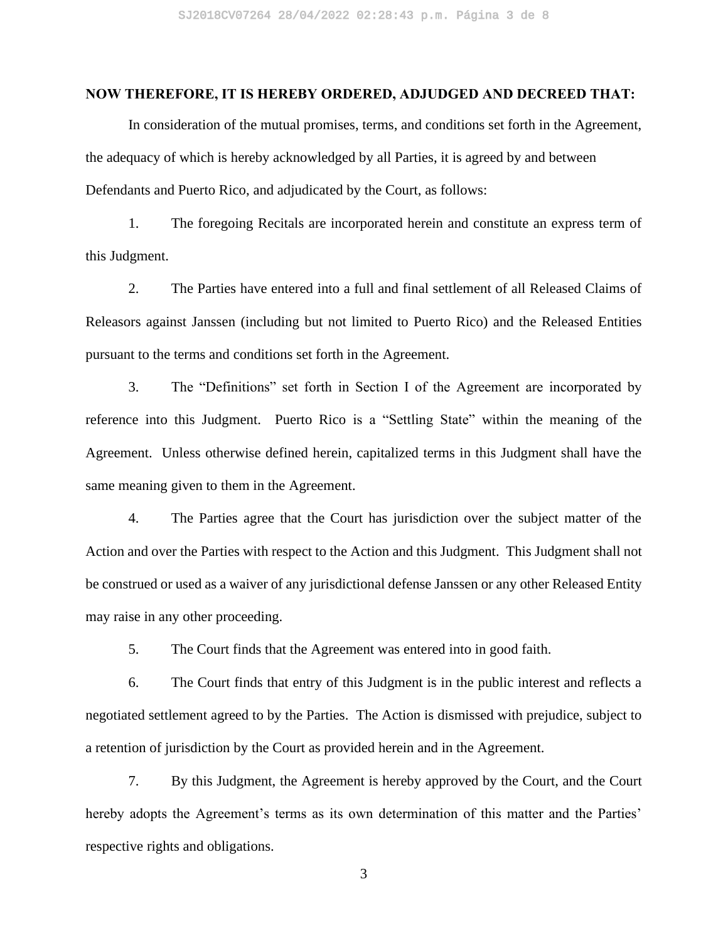## **NOW THEREFORE, IT IS HEREBY ORDERED, ADJUDGED AND DECREED THAT:**

In consideration of the mutual promises, terms, and conditions set forth in the Agreement, the adequacy of which is hereby acknowledged by all Parties, it is agreed by and between Defendants and Puerto Rico, and adjudicated by the Court, as follows:

1. The foregoing Recitals are incorporated herein and constitute an express term of this Judgment.

2. The Parties have entered into a full and final settlement of all Released Claims of Releasors against Janssen (including but not limited to Puerto Rico) and the Released Entities pursuant to the terms and conditions set forth in the Agreement.

3. The "Definitions" set forth in Section I of the Agreement are incorporated by reference into this Judgment. Puerto Rico is a "Settling State" within the meaning of the Agreement. Unless otherwise defined herein, capitalized terms in this Judgment shall have the same meaning given to them in the Agreement.

4. The Parties agree that the Court has jurisdiction over the subject matter of the Action and over the Parties with respect to the Action and this Judgment. This Judgment shall not be construed or used as a waiver of any jurisdictional defense Janssen or any other Released Entity may raise in any other proceeding.

5. The Court finds that the Agreement was entered into in good faith.

6. The Court finds that entry of this Judgment is in the public interest and reflects a negotiated settlement agreed to by the Parties. The Action is dismissed with prejudice, subject to a retention of jurisdiction by the Court as provided herein and in the Agreement.

7. By this Judgment, the Agreement is hereby approved by the Court, and the Court hereby adopts the Agreement's terms as its own determination of this matter and the Parties' respective rights and obligations.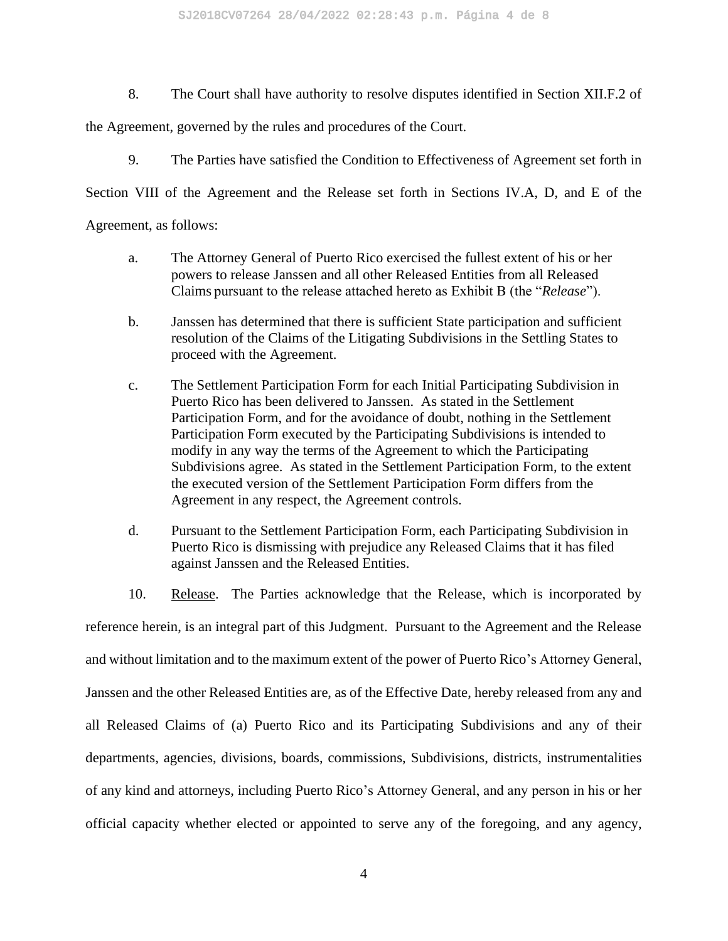SJ2018CV07264 28/04/2022 02:28:43 p.m. Página 4 de 8

8. The Court shall have authority to resolve disputes identified in Section XII.F.2 of

the Agreement, governed by the rules and procedures of the Court.

9. The Parties have satisfied the Condition to Effectiveness of Agreement set forth in

Section VIII of the Agreement and the Release set forth in Sections IV.A, D, and E of the

Agreement, as follows:

- a. The Attorney General of Puerto Rico exercised the fullest extent of his or her powers to release Janssen and all other Released Entities from all Released Claims pursuant to the release attached hereto as Exhibit B (the "*Release*").
- b. Janssen has determined that there is sufficient State participation and sufficient resolution of the Claims of the Litigating Subdivisions in the Settling States to proceed with the Agreement.
- c. The Settlement Participation Form for each Initial Participating Subdivision in Puerto Rico has been delivered to Janssen. As stated in the Settlement Participation Form, and for the avoidance of doubt, nothing in the Settlement Participation Form executed by the Participating Subdivisions is intended to modify in any way the terms of the Agreement to which the Participating Subdivisions agree. As stated in the Settlement Participation Form, to the extent the executed version of the Settlement Participation Form differs from the Agreement in any respect, the Agreement controls.
- d. Pursuant to the Settlement Participation Form, each Participating Subdivision in Puerto Rico is dismissing with prejudice any Released Claims that it has filed against Janssen and the Released Entities.

10. Release. The Parties acknowledge that the Release, which is incorporated by reference herein, is an integral part of this Judgment. Pursuant to the Agreement and the Release and without limitation and to the maximum extent of the power of Puerto Rico's Attorney General, Janssen and the other Released Entities are, as of the Effective Date, hereby released from any and all Released Claims of (a) Puerto Rico and its Participating Subdivisions and any of their departments, agencies, divisions, boards, commissions, Subdivisions, districts, instrumentalities of any kind and attorneys, including Puerto Rico's Attorney General, and any person in his or her official capacity whether elected or appointed to serve any of the foregoing, and any agency,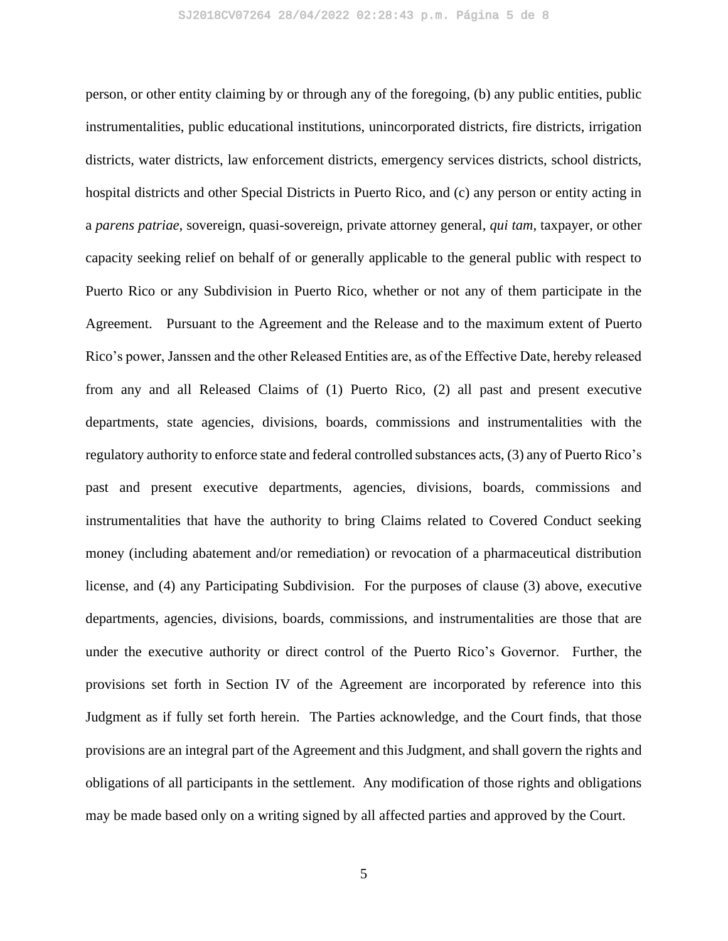person, or other entity claiming by or through any of the foregoing, (b) any public entities, public instrumentalities, public educational institutions, unincorporated districts, fire districts, irrigation districts, water districts, law enforcement districts, emergency services districts, school districts, hospital districts and other Special Districts in Puerto Rico, and (c) any person or entity acting in a *parens patriae*, sovereign, quasi-sovereign, private attorney general, *qui tam*, taxpayer, or other capacity seeking relief on behalf of or generally applicable to the general public with respect to Puerto Rico or any Subdivision in Puerto Rico, whether or not any of them participate in the Agreement. Pursuant to the Agreement and the Release and to the maximum extent of Puerto Rico's power, Janssen and the other Released Entities are, as of the Effective Date, hereby released from any and all Released Claims of (1) Puerto Rico, (2) all past and present executive departments, state agencies, divisions, boards, commissions and instrumentalities with the regulatory authority to enforce state and federal controlled substances acts, (3) any of Puerto Rico's past and present executive departments, agencies, divisions, boards, commissions and instrumentalities that have the authority to bring Claims related to Covered Conduct seeking money (including abatement and/or remediation) or revocation of a pharmaceutical distribution license, and (4) any Participating Subdivision. For the purposes of clause (3) above, executive departments, agencies, divisions, boards, commissions, and instrumentalities are those that are under the executive authority or direct control of the Puerto Rico's Governor. Further, the provisions set forth in Section IV of the Agreement are incorporated by reference into this Judgment as if fully set forth herein. The Parties acknowledge, and the Court finds, that those provisions are an integral part of the Agreement and this Judgment, and shall govern the rights and obligations of all participants in the settlement. Any modification of those rights and obligations may be made based only on a writing signed by all affected parties and approved by the Court.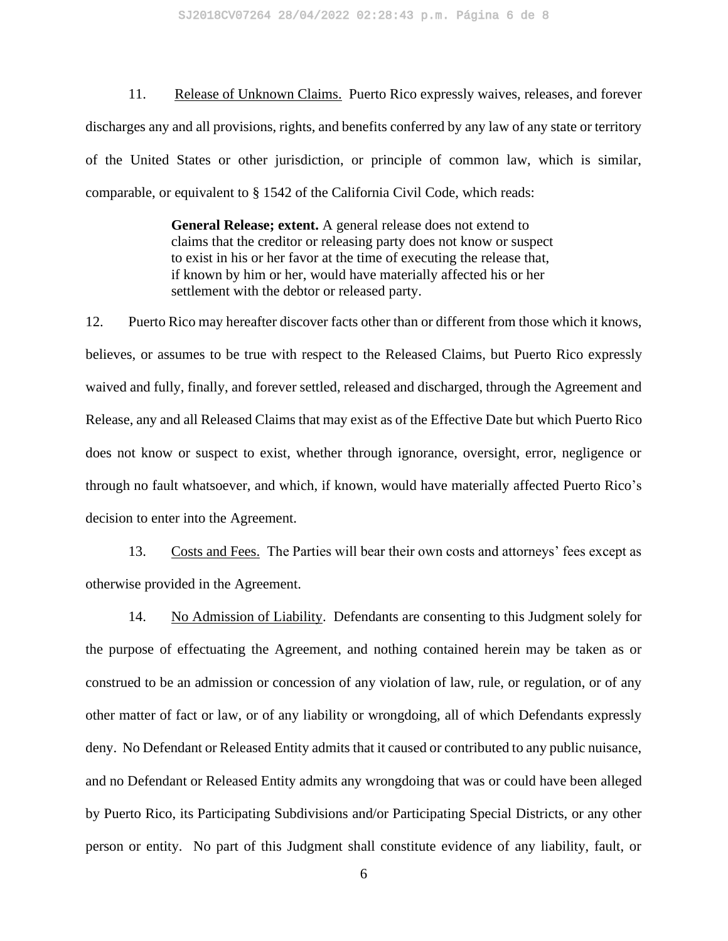11. Release of Unknown Claims. Puerto Rico expressly waives, releases, and forever discharges any and all provisions, rights, and benefits conferred by any law of any state or territory of the United States or other jurisdiction, or principle of common law, which is similar, comparable, or equivalent to § 1542 of the California Civil Code, which reads:

> **General Release; extent.** A general release does not extend to claims that the creditor or releasing party does not know or suspect to exist in his or her favor at the time of executing the release that, if known by him or her, would have materially affected his or her settlement with the debtor or released party.

12. Puerto Rico may hereafter discover facts other than or different from those which it knows, believes, or assumes to be true with respect to the Released Claims, but Puerto Rico expressly waived and fully, finally, and forever settled, released and discharged, through the Agreement and Release, any and all Released Claims that may exist as of the Effective Date but which Puerto Rico does not know or suspect to exist, whether through ignorance, oversight, error, negligence or through no fault whatsoever, and which, if known, would have materially affected Puerto Rico's decision to enter into the Agreement.

13. Costs and Fees. The Parties will bear their own costs and attorneys' fees except as otherwise provided in the Agreement.

14. No Admission of Liability. Defendants are consenting to this Judgment solely for the purpose of effectuating the Agreement, and nothing contained herein may be taken as or construed to be an admission or concession of any violation of law, rule, or regulation, or of any other matter of fact or law, or of any liability or wrongdoing, all of which Defendants expressly deny. No Defendant or Released Entity admits that it caused or contributed to any public nuisance, and no Defendant or Released Entity admits any wrongdoing that was or could have been alleged by Puerto Rico, its Participating Subdivisions and/or Participating Special Districts, or any other person or entity. No part of this Judgment shall constitute evidence of any liability, fault, or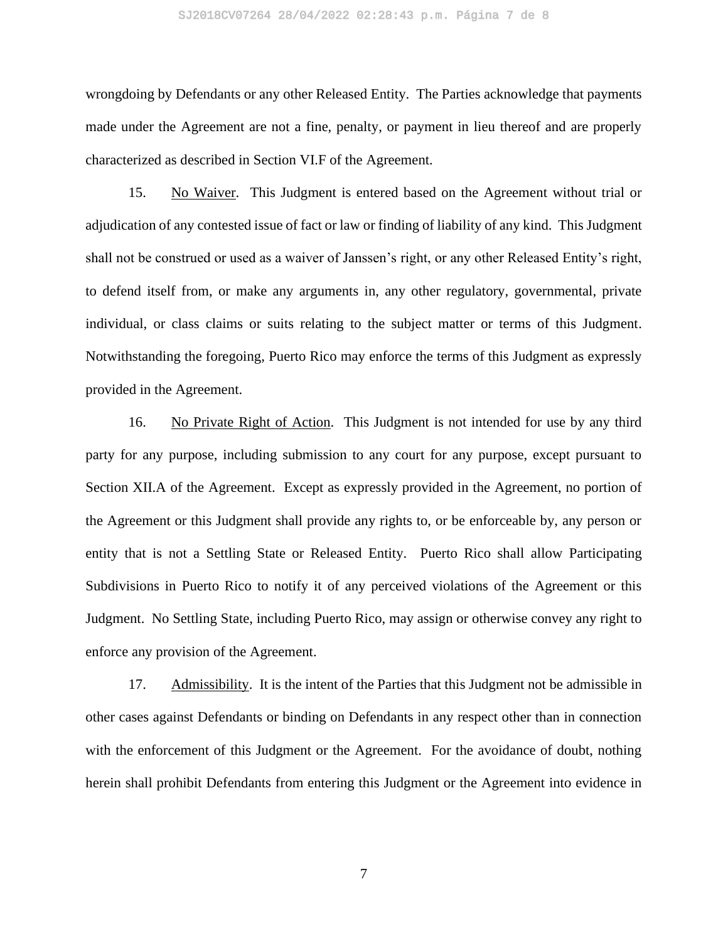wrongdoing by Defendants or any other Released Entity. The Parties acknowledge that payments made under the Agreement are not a fine, penalty, or payment in lieu thereof and are properly characterized as described in Section VI.F of the Agreement.

15. No Waiver. This Judgment is entered based on the Agreement without trial or adjudication of any contested issue of fact or law or finding of liability of any kind. This Judgment shall not be construed or used as a waiver of Janssen's right, or any other Released Entity's right, to defend itself from, or make any arguments in, any other regulatory, governmental, private individual, or class claims or suits relating to the subject matter or terms of this Judgment. Notwithstanding the foregoing, Puerto Rico may enforce the terms of this Judgment as expressly provided in the Agreement.

16. No Private Right of Action. This Judgment is not intended for use by any third party for any purpose, including submission to any court for any purpose, except pursuant to Section XII.A of the Agreement. Except as expressly provided in the Agreement, no portion of the Agreement or this Judgment shall provide any rights to, or be enforceable by, any person or entity that is not a Settling State or Released Entity. Puerto Rico shall allow Participating Subdivisions in Puerto Rico to notify it of any perceived violations of the Agreement or this Judgment. No Settling State, including Puerto Rico, may assign or otherwise convey any right to enforce any provision of the Agreement.

17. Admissibility. It is the intent of the Parties that this Judgment not be admissible in other cases against Defendants or binding on Defendants in any respect other than in connection with the enforcement of this Judgment or the Agreement. For the avoidance of doubt, nothing herein shall prohibit Defendants from entering this Judgment or the Agreement into evidence in